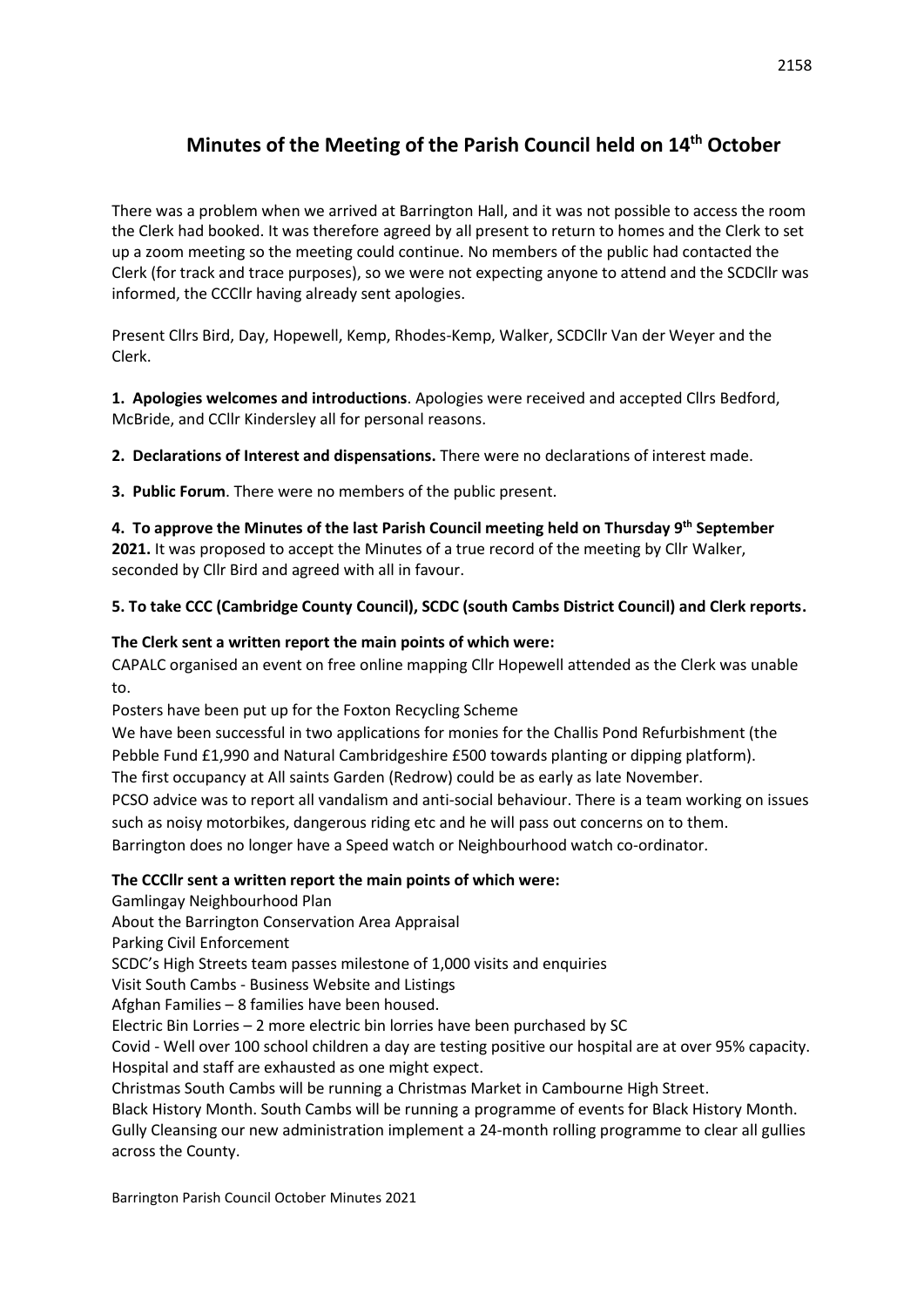# **Minutes of the Meeting of the Parish Council held on 14th October**

There was a problem when we arrived at Barrington Hall, and it was not possible to access the room the Clerk had booked. It was therefore agreed by all present to return to homes and the Clerk to set up a zoom meeting so the meeting could continue. No members of the public had contacted the Clerk (for track and trace purposes), so we were not expecting anyone to attend and the SCDCllr was informed, the CCCllr having already sent apologies.

Present Cllrs Bird, Day, Hopewell, Kemp, Rhodes-Kemp, Walker, SCDCllr Van der Weyer and the Clerk.

**1. Apologies welcomes and introductions**. Apologies were received and accepted Cllrs Bedford, McBride, and CCllr Kindersley all for personal reasons.

**2. Declarations of Interest and dispensations.** There were no declarations of interest made.

**3. Public Forum**. There were no members of the public present.

**4. To approve the Minutes of the last Parish Council meeting held on Thursday 9th September 2021.** It was proposed to accept the Minutes of a true record of the meeting by Cllr Walker, seconded by Cllr Bird and agreed with all in favour.

# **5. To take CCC (Cambridge County Council), SCDC (south Cambs District Council) and Clerk reports.**

# **The Clerk sent a written report the main points of which were:**

CAPALC organised an event on free online mapping Cllr Hopewell attended as the Clerk was unable to.

Posters have been put up for the Foxton Recycling Scheme

We have been successful in two applications for monies for the Challis Pond Refurbishment (the Pebble Fund £1,990 and Natural Cambridgeshire £500 towards planting or dipping platform). The first occupancy at All saints Garden (Redrow) could be as early as late November.

PCSO advice was to report all vandalism and anti-social behaviour. There is a team working on issues

such as noisy motorbikes, dangerous riding etc and he will pass out concerns on to them. Barrington does no longer have a Speed watch or Neighbourhood watch co-ordinator.

# **The CCCllr sent a written report the main points of which were:**

Gamlingay Neighbourhood Plan

About the Barrington Conservation Area Appraisal

Parking Civil Enforcement

SCDC's High Streets team passes milestone of 1,000 visits and enquiries

Visit South Cambs - Business Website and Listings

Afghan Families – 8 families have been housed.

Electric Bin Lorries – 2 more electric bin lorries have been purchased by SC

Covid - Well over 100 school children a day are testing positive our hospital are at over 95% capacity. Hospital and staff are exhausted as one might expect.

Christmas South Cambs will be running a Christmas Market in Cambourne High Street.

Black History Month. South Cambs will be running a programme of events for Black History Month. Gully Cleansing our new administration implement a 24-month rolling programme to clear all gullies across the County.

Barrington Parish Council October Minutes 2021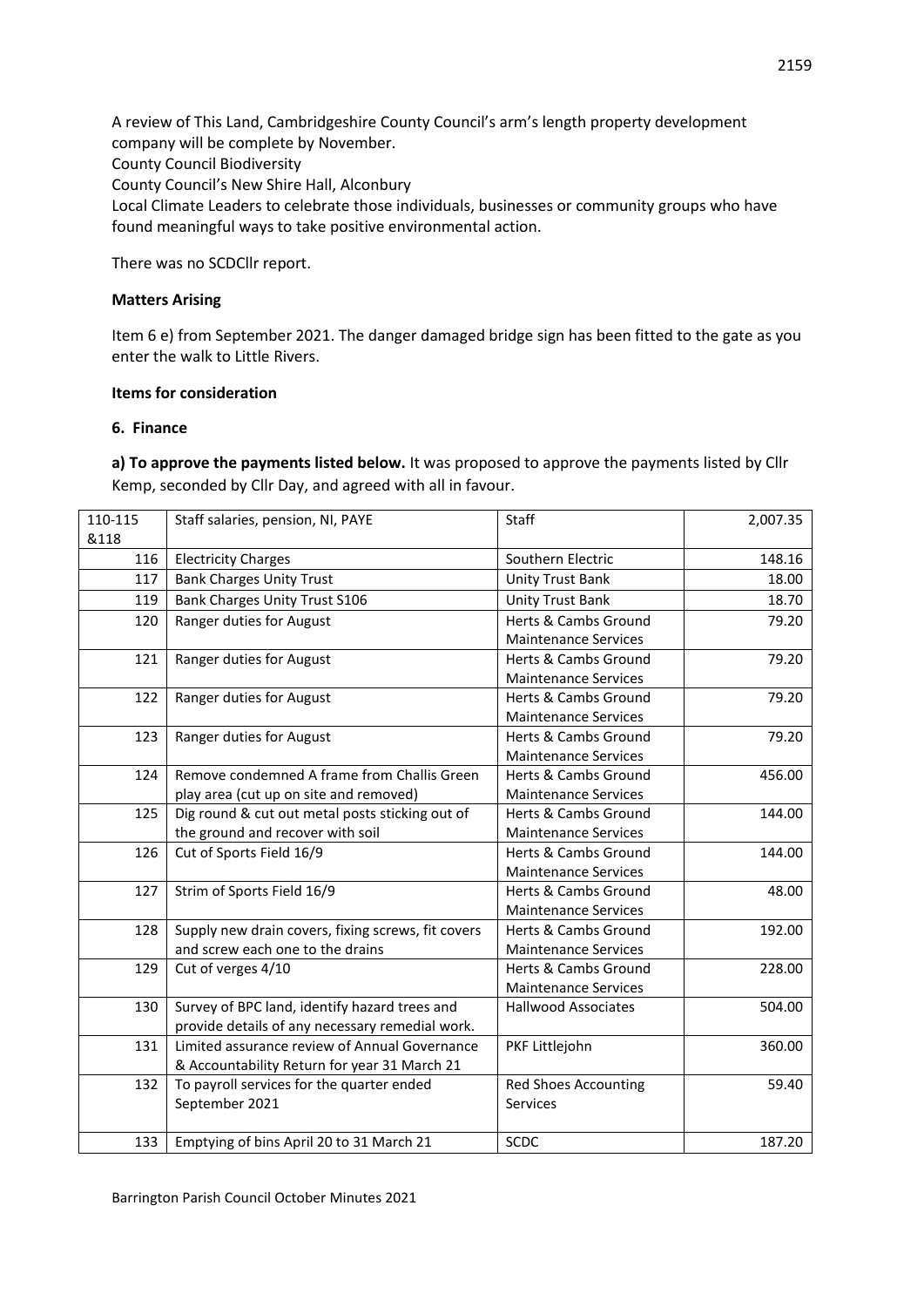A review of This Land, Cambridgeshire County Council's arm's length property development company will be complete by November. County Council Biodiversity County Council's New Shire Hall, Alconbury Local Climate Leaders to celebrate those individuals, businesses or community groups who have found meaningful ways to take positive environmental action.

There was no SCDCllr report.

#### **Matters Arising**

Item 6 e) from September 2021. The danger damaged bridge sign has been fitted to the gate as you enter the walk to Little Rivers.

#### **Items for consideration**

#### **6. Finance**

**a) To approve the payments listed below.** It was proposed to approve the payments listed by Cllr Kemp, seconded by Cllr Day, and agreed with all in favour.

| 110-115 | Staff salaries, pension, NI, PAYE                  | Staff                       | 2,007.35 |
|---------|----------------------------------------------------|-----------------------------|----------|
| &118    |                                                    |                             |          |
| 116     | <b>Electricity Charges</b>                         | Southern Electric           | 148.16   |
| 117     | <b>Bank Charges Unity Trust</b>                    | Unity Trust Bank            | 18.00    |
| 119     | <b>Bank Charges Unity Trust S106</b>               | <b>Unity Trust Bank</b>     | 18.70    |
| 120     | Ranger duties for August                           | Herts & Cambs Ground        | 79.20    |
|         |                                                    | <b>Maintenance Services</b> |          |
| 121     | Ranger duties for August                           | Herts & Cambs Ground        | 79.20    |
|         |                                                    | <b>Maintenance Services</b> |          |
| 122     | Ranger duties for August                           | Herts & Cambs Ground        | 79.20    |
|         |                                                    | <b>Maintenance Services</b> |          |
| 123     | Ranger duties for August                           | Herts & Cambs Ground        | 79.20    |
|         |                                                    | <b>Maintenance Services</b> |          |
| 124     | Remove condemned A frame from Challis Green        | Herts & Cambs Ground        | 456.00   |
|         | play area (cut up on site and removed)             | <b>Maintenance Services</b> |          |
| 125     | Dig round & cut out metal posts sticking out of    | Herts & Cambs Ground        | 144.00   |
|         | the ground and recover with soil                   | <b>Maintenance Services</b> |          |
| 126     | Cut of Sports Field 16/9                           | Herts & Cambs Ground        | 144.00   |
|         |                                                    | <b>Maintenance Services</b> |          |
| 127     | Strim of Sports Field 16/9                         | Herts & Cambs Ground        | 48.00    |
|         |                                                    | <b>Maintenance Services</b> |          |
| 128     | Supply new drain covers, fixing screws, fit covers | Herts & Cambs Ground        | 192.00   |
|         | and screw each one to the drains                   | <b>Maintenance Services</b> |          |
| 129     | Cut of verges 4/10                                 | Herts & Cambs Ground        | 228.00   |
|         |                                                    | <b>Maintenance Services</b> |          |
| 130     | Survey of BPC land, identify hazard trees and      | <b>Hallwood Associates</b>  | 504.00   |
|         | provide details of any necessary remedial work.    |                             |          |
| 131     | Limited assurance review of Annual Governance      | PKF Littlejohn              | 360.00   |
|         | & Accountability Return for year 31 March 21       |                             |          |
| 132     | To payroll services for the quarter ended          | <b>Red Shoes Accounting</b> | 59.40    |
|         | September 2021                                     | <b>Services</b>             |          |
|         |                                                    |                             |          |
| 133     | Emptying of bins April 20 to 31 March 21           | SCDC                        | 187.20   |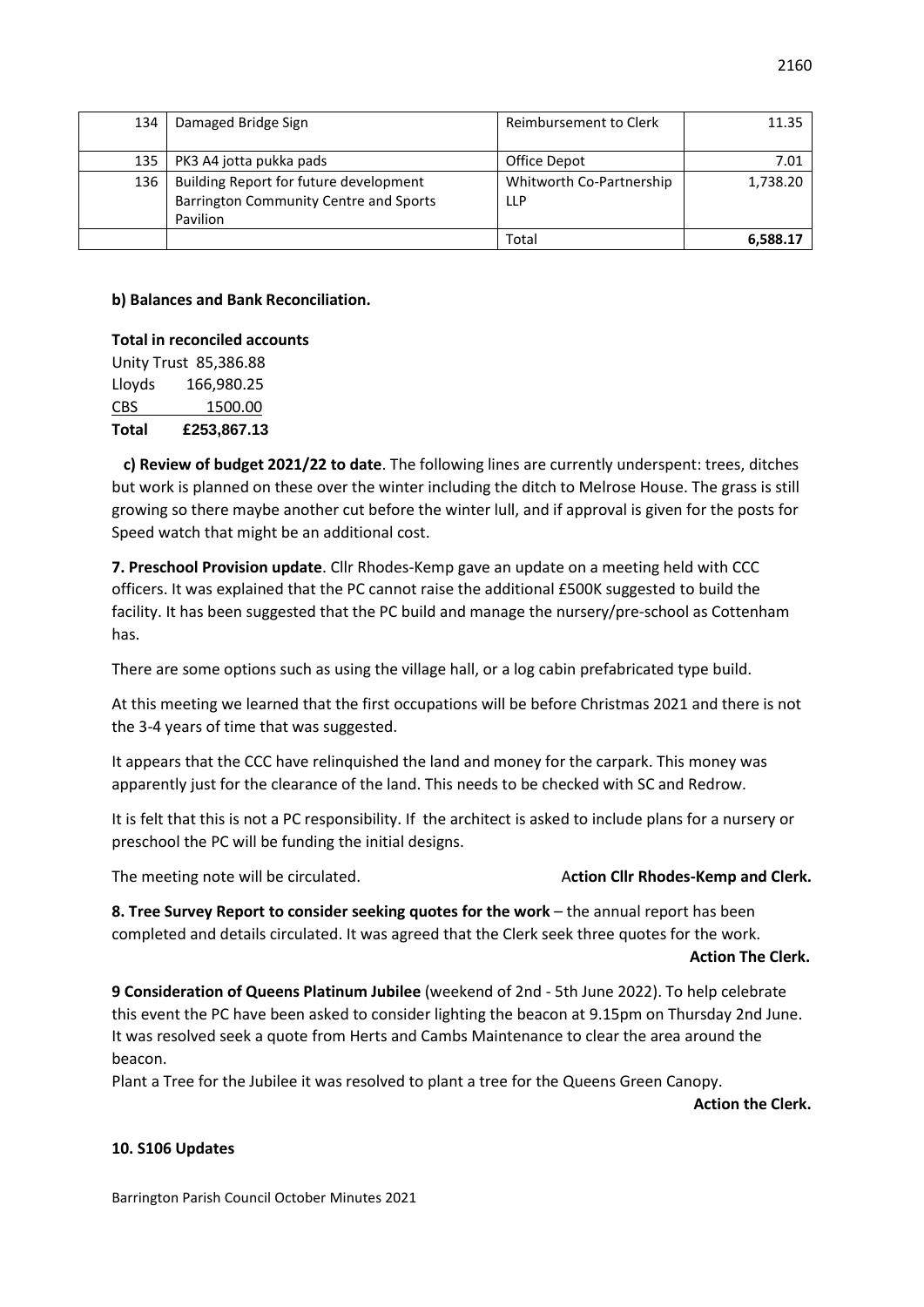| 134 | Damaged Bridge Sign                                                              | Reimbursement to Clerk                 | 11.35    |
|-----|----------------------------------------------------------------------------------|----------------------------------------|----------|
|     |                                                                                  |                                        |          |
| 135 | PK3 A4 jotta pukka pads                                                          | Office Depot                           | 7.01     |
| 136 | Building Report for future development<br>Barrington Community Centre and Sports | Whitworth Co-Partnership<br><b>LLP</b> | 1,738.20 |
|     | Pavilion                                                                         |                                        |          |
|     |                                                                                  | Total                                  | 6.588.17 |

### **b) Balances and Bank Reconciliation.**

**Total in reconciled accounts** Unity Trust 85,386.88 Lloyds 166,980.25 CBS 1500.00 **Total £253,867.13**

 **c) Review of budget 2021/22 to date**. The following lines are currently underspent: trees, ditches but work is planned on these over the winter including the ditch to Melrose House. The grass is still growing so there maybe another cut before the winter lull, and if approval is given for the posts for Speed watch that might be an additional cost.

**7. Preschool Provision update**. Cllr Rhodes-Kemp gave an update on a meeting held with CCC officers. It was explained that the PC cannot raise the additional £500K suggested to build the facility. It has been suggested that the PC build and manage the nursery/pre-school as Cottenham has.

There are some options such as using the village hall, or a log cabin prefabricated type build.

At this meeting we learned that the first occupations will be before Christmas 2021 and there is not the 3-4 years of time that was suggested.

It appears that the CCC have relinquished the land and money for the carpark. This money was apparently just for the clearance of the land. This needs to be checked with SC and Redrow.

It is felt that this is not a PC responsibility. If the architect is asked to include plans for a nursery or preschool the PC will be funding the initial designs.

The meeting note will be circulated. A**ction Cllr Rhodes-Kemp and Clerk.**

**8. Tree Survey Report to consider seeking quotes for the work** – the annual report has been completed and details circulated. It was agreed that the Clerk seek three quotes for the work.

#### **Action The Clerk.**

**9 Consideration of Queens Platinum Jubilee** (weekend of 2nd - 5th June 2022). To help celebrate this event the PC have been asked to consider lighting the beacon at 9.15pm on Thursday 2nd June. It was resolved seek a quote from Herts and Cambs Maintenance to clear the area around the beacon.

Plant a Tree for the Jubilee it was resolved to plant a tree for the Queens Green Canopy.

**Action the Clerk.**

# **10. S106 Updates**

Barrington Parish Council October Minutes 2021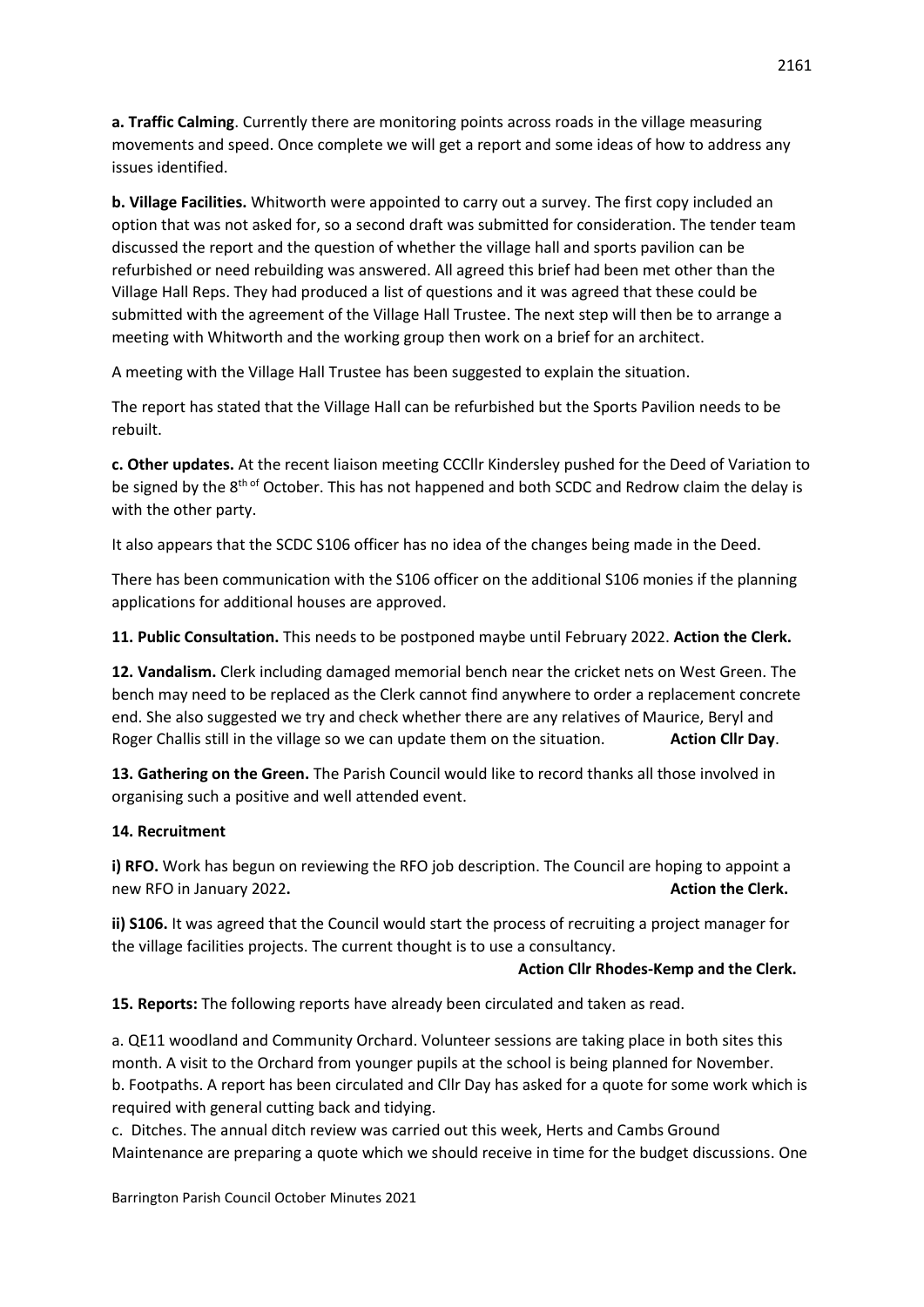**a. Traffic Calming**. Currently there are monitoring points across roads in the village measuring movements and speed. Once complete we will get a report and some ideas of how to address any issues identified.

**b. Village Facilities.** Whitworth were appointed to carry out a survey. The first copy included an option that was not asked for, so a second draft was submitted for consideration. The tender team discussed the report and the question of whether the village hall and sports pavilion can be refurbished or need rebuilding was answered. All agreed this brief had been met other than the Village Hall Reps. They had produced a list of questions and it was agreed that these could be submitted with the agreement of the Village Hall Trustee. The next step will then be to arrange a meeting with Whitworth and the working group then work on a brief for an architect.

A meeting with the Village Hall Trustee has been suggested to explain the situation.

The report has stated that the Village Hall can be refurbished but the Sports Pavilion needs to be rebuilt.

**c. Other updates.** At the recent liaison meeting CCCllr Kindersley pushed for the Deed of Variation to be signed by the 8<sup>th of</sup> October. This has not happened and both SCDC and Redrow claim the delay is with the other party.

It also appears that the SCDC S106 officer has no idea of the changes being made in the Deed.

There has been communication with the S106 officer on the additional S106 monies if the planning applications for additional houses are approved.

**11. Public Consultation.** This needs to be postponed maybe until February 2022. **Action the Clerk.**

**12. Vandalism.** Clerk including damaged memorial bench near the cricket nets on West Green. The bench may need to be replaced as the Clerk cannot find anywhere to order a replacement concrete end. She also suggested we try and check whether there are any relatives of Maurice, Beryl and Roger Challis still in the village so we can update them on the situation. **Action Cllr Day**.

**13. Gathering on the Green.** The Parish Council would like to record thanks all those involved in organising such a positive and well attended event.

# **14. Recruitment**

**i) RFO.** Work has begun on reviewing the RFO job description. The Council are hoping to appoint a new RFO in January 2022. **Action the Clerk. Action the Clerk. Action the Clerk.** 

**ii) S106.** It was agreed that the Council would start the process of recruiting a project manager for the village facilities projects. The current thought is to use a consultancy.

# **Action Cllr Rhodes-Kemp and the Clerk.**

**15. Reports:** The following reports have already been circulated and taken as read.

a. QE11 woodland and Community Orchard. Volunteer sessions are taking place in both sites this month. A visit to the Orchard from younger pupils at the school is being planned for November. b. Footpaths. A report has been circulated and Cllr Day has asked for a quote for some work which is required with general cutting back and tidying.

c. Ditches. The annual ditch review was carried out this week, Herts and Cambs Ground Maintenance are preparing a quote which we should receive in time for the budget discussions. One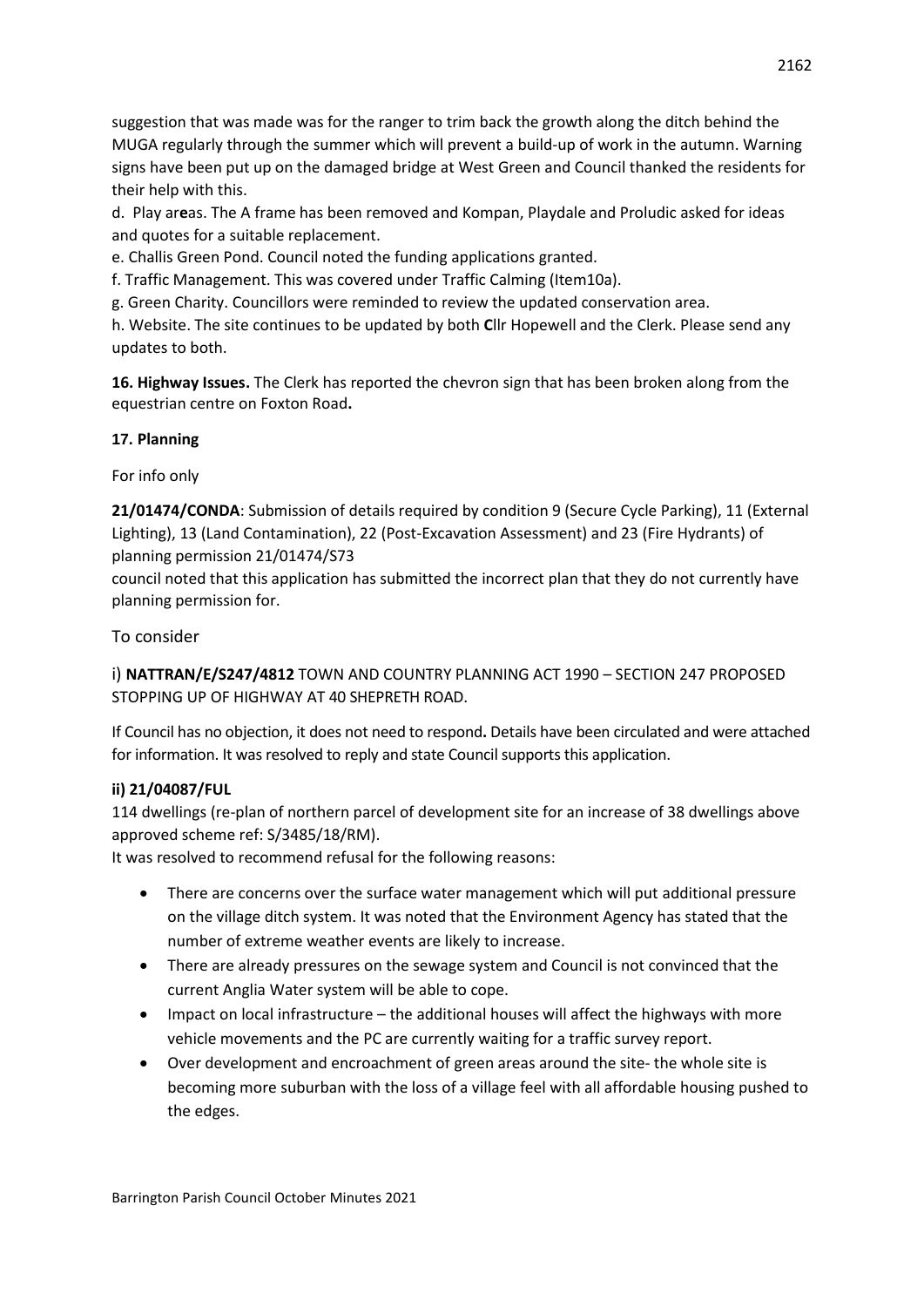suggestion that was made was for the ranger to trim back the growth along the ditch behind the MUGA regularly through the summer which will prevent a build-up of work in the autumn. Warning signs have been put up on the damaged bridge at West Green and Council thanked the residents for their help with this.

d. Play ar**e**as. The A frame has been removed and Kompan, Playdale and Proludic asked for ideas and quotes for a suitable replacement.

e. Challis Green Pond. Council noted the funding applications granted.

f. Traffic Management. This was covered under Traffic Calming (Item10a).

g. Green Charity. Councillors were reminded to review the updated conservation area.

h. Website. The site continues to be updated by both **C**llr Hopewell and the Clerk. Please send any updates to both.

**16. Highway Issues.** The Clerk has reported the chevron sign that has been broken along from the equestrian centre on Foxton Road**.** 

# **17. Planning**

For info only

**21/01474/CONDA**: Submission of details required by condition 9 (Secure Cycle Parking), 11 (External Lighting), 13 (Land Contamination), 22 (Post-Excavation Assessment) and 23 (Fire Hydrants) of planning permission 21/01474/S73

council noted that this application has submitted the incorrect plan that they do not currently have planning permission for.

# To consider

i) **NATTRAN/E/S247/4812** TOWN AND COUNTRY PLANNING ACT 1990 – SECTION 247 PROPOSED STOPPING UP OF HIGHWAY AT 40 SHEPRETH ROAD.

If Council has no objection, it does not need to respond**.** Details have been circulated and were attached for information. It was resolved to reply and state Council supports this application.

# **ii) 21/04087/FUL**

114 dwellings (re-plan of northern parcel of development site for an increase of 38 dwellings above approved scheme ref: S/3485/18/RM).

It was resolved to recommend refusal for the following reasons:

- There are concerns over the surface water management which will put additional pressure on the village ditch system. It was noted that the Environment Agency has stated that the number of extreme weather events are likely to increase.
- There are already pressures on the sewage system and Council is not convinced that the current Anglia Water system will be able to cope.
- Impact on local infrastructure the additional houses will affect the highways with more vehicle movements and the PC are currently waiting for a traffic survey report.
- Over development and encroachment of green areas around the site- the whole site is becoming more suburban with the loss of a village feel with all affordable housing pushed to the edges.